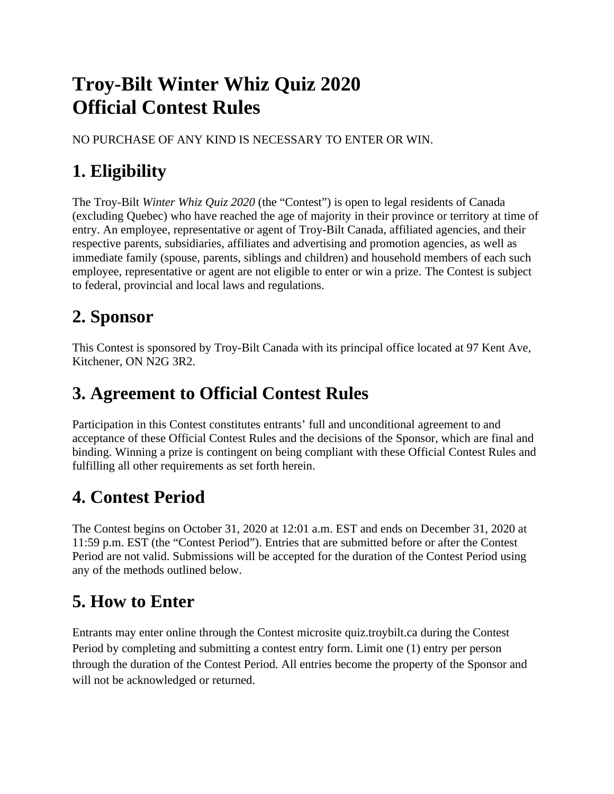# **Troy-Bilt Winter Whiz Quiz 2020 Official Contest Rules**

NO PURCHASE OF ANY KIND IS NECESSARY TO ENTER OR WIN.

# **1. Eligibility**

The Troy-Bilt *Winter Whiz Quiz 2020* (the "Contest") is open to legal residents of Canada (excluding Quebec) who have reached the age of majority in their province or territory at time of entry. An employee, representative or agent of Troy-Bilt Canada, affiliated agencies, and their respective parents, subsidiaries, affiliates and advertising and promotion agencies, as well as immediate family (spouse, parents, siblings and children) and household members of each such employee, representative or agent are not eligible to enter or win a prize. The Contest is subject to federal, provincial and local laws and regulations.

# **2. Sponsor**

This Contest is sponsored by Troy-Bilt Canada with its principal office located at 97 Kent Ave, Kitchener, ON N2G 3R2.

# **3. Agreement to Official Contest Rules**

Participation in this Contest constitutes entrants' full and unconditional agreement to and acceptance of these Official Contest Rules and the decisions of the Sponsor, which are final and binding. Winning a prize is contingent on being compliant with these Official Contest Rules and fulfilling all other requirements as set forth herein.

# **4. Contest Period**

The Contest begins on October 31, 2020 at 12:01 a.m. EST and ends on December 31, 2020 at 11:59 p.m. EST (the "Contest Period"). Entries that are submitted before or after the Contest Period are not valid. Submissions will be accepted for the duration of the Contest Period using any of the methods outlined below.

#### **5. How to Enter**

Entrants may enter online through the Contest microsite quiz.troybilt.ca during the Contest Period by completing and submitting a contest entry form. Limit one (1) entry per person through the duration of the Contest Period. All entries become the property of the Sponsor and will not be acknowledged or returned.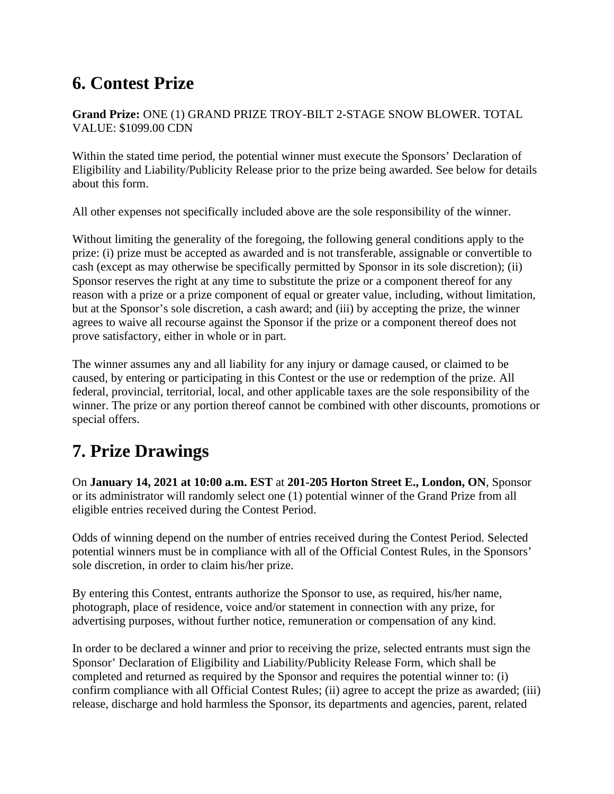# **6. Contest Prize**

#### **Grand Prize:** ONE (1) GRAND PRIZE TROY-BILT 2-STAGE SNOW BLOWER. TOTAL VALUE: \$1099.00 CDN

Within the stated time period, the potential winner must execute the Sponsors' Declaration of Eligibility and Liability/Publicity Release prior to the prize being awarded. See below for details about this form.

All other expenses not specifically included above are the sole responsibility of the winner.

Without limiting the generality of the foregoing, the following general conditions apply to the prize: (i) prize must be accepted as awarded and is not transferable, assignable or convertible to cash (except as may otherwise be specifically permitted by Sponsor in its sole discretion); (ii) Sponsor reserves the right at any time to substitute the prize or a component thereof for any reason with a prize or a prize component of equal or greater value, including, without limitation, but at the Sponsor's sole discretion, a cash award; and (iii) by accepting the prize, the winner agrees to waive all recourse against the Sponsor if the prize or a component thereof does not prove satisfactory, either in whole or in part.

The winner assumes any and all liability for any injury or damage caused, or claimed to be caused, by entering or participating in this Contest or the use or redemption of the prize. All federal, provincial, territorial, local, and other applicable taxes are the sole responsibility of the winner. The prize or any portion thereof cannot be combined with other discounts, promotions or special offers.

### **7. Prize Drawings**

On **January 14, 2021 at 10:00 a.m. EST** at **201-205 Horton Street E., London, ON**, Sponsor or its administrator will randomly select one (1) potential winner of the Grand Prize from all eligible entries received during the Contest Period.

Odds of winning depend on the number of entries received during the Contest Period. Selected potential winners must be in compliance with all of the Official Contest Rules, in the Sponsors' sole discretion, in order to claim his/her prize.

By entering this Contest, entrants authorize the Sponsor to use, as required, his/her name, photograph, place of residence, voice and/or statement in connection with any prize, for advertising purposes, without further notice, remuneration or compensation of any kind.

In order to be declared a winner and prior to receiving the prize, selected entrants must sign the Sponsor' Declaration of Eligibility and Liability/Publicity Release Form, which shall be completed and returned as required by the Sponsor and requires the potential winner to: (i) confirm compliance with all Official Contest Rules; (ii) agree to accept the prize as awarded; (iii) release, discharge and hold harmless the Sponsor, its departments and agencies, parent, related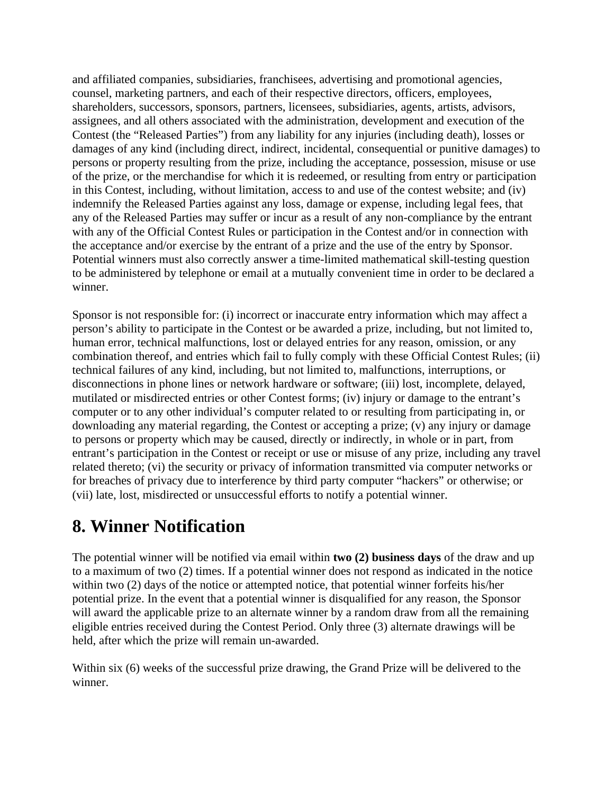and affiliated companies, subsidiaries, franchisees, advertising and promotional agencies, counsel, marketing partners, and each of their respective directors, officers, employees, shareholders, successors, sponsors, partners, licensees, subsidiaries, agents, artists, advisors, assignees, and all others associated with the administration, development and execution of the Contest (the "Released Parties") from any liability for any injuries (including death), losses or damages of any kind (including direct, indirect, incidental, consequential or punitive damages) to persons or property resulting from the prize, including the acceptance, possession, misuse or use of the prize, or the merchandise for which it is redeemed, or resulting from entry or participation in this Contest, including, without limitation, access to and use of the contest website; and (iv) indemnify the Released Parties against any loss, damage or expense, including legal fees, that any of the Released Parties may suffer or incur as a result of any non-compliance by the entrant with any of the Official Contest Rules or participation in the Contest and/or in connection with the acceptance and/or exercise by the entrant of a prize and the use of the entry by Sponsor. Potential winners must also correctly answer a time-limited mathematical skill-testing question to be administered by telephone or email at a mutually convenient time in order to be declared a winner.

Sponsor is not responsible for: (i) incorrect or inaccurate entry information which may affect a person's ability to participate in the Contest or be awarded a prize, including, but not limited to, human error, technical malfunctions, lost or delayed entries for any reason, omission, or any combination thereof, and entries which fail to fully comply with these Official Contest Rules; (ii) technical failures of any kind, including, but not limited to, malfunctions, interruptions, or disconnections in phone lines or network hardware or software; (iii) lost, incomplete, delayed, mutilated or misdirected entries or other Contest forms; (iv) injury or damage to the entrant's computer or to any other individual's computer related to or resulting from participating in, or downloading any material regarding, the Contest or accepting a prize; (v) any injury or damage to persons or property which may be caused, directly or indirectly, in whole or in part, from entrant's participation in the Contest or receipt or use or misuse of any prize, including any travel related thereto; (vi) the security or privacy of information transmitted via computer networks or for breaches of privacy due to interference by third party computer "hackers" or otherwise; or (vii) late, lost, misdirected or unsuccessful efforts to notify a potential winner.

### **8. Winner Notification**

The potential winner will be notified via email within **two (2) business days** of the draw and up to a maximum of two (2) times. If a potential winner does not respond as indicated in the notice within two (2) days of the notice or attempted notice, that potential winner forfeits his/her potential prize. In the event that a potential winner is disqualified for any reason, the Sponsor will award the applicable prize to an alternate winner by a random draw from all the remaining eligible entries received during the Contest Period. Only three (3) alternate drawings will be held, after which the prize will remain un-awarded.

Within six (6) weeks of the successful prize drawing, the Grand Prize will be delivered to the winner.